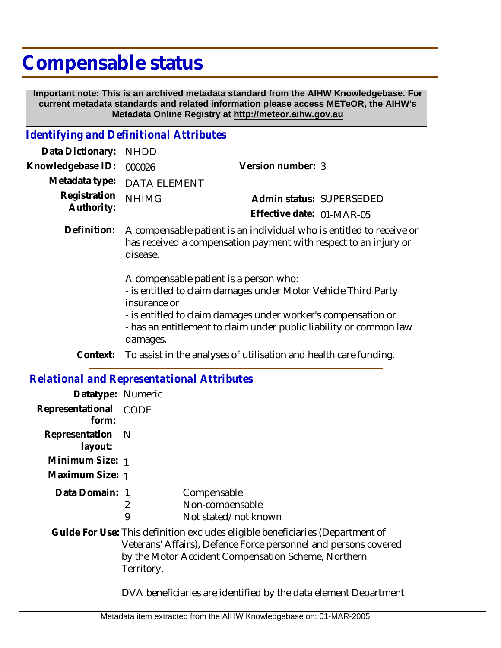## **Compensable status**

 **Important note: This is an archived metadata standard from the AIHW Knowledgebase. For current metadata standards and related information please access METeOR, the AIHW's Metadata Online Registry at http://meteor.aihw.gov.au**

## *Identifying and Definitional Attributes*

| Data Dictionary: NHDD    |                             |                           |  |
|--------------------------|-----------------------------|---------------------------|--|
| Knowledgebase ID: 000026 |                             | Version number: 3         |  |
|                          | Metadata type: DATA ELEMENT |                           |  |
| Registration NHIMG       |                             | Admin status: SUPERSEDED  |  |
| Authority:               |                             | Effective date: 01-MAR-05 |  |
|                          |                             |                           |  |

Definition: A compensable patient is an individual who is entitled to receive or has received a compensation payment with respect to an injury or disease.

A compensable patient is a person who:

- is entitled to claim damages under Motor Vehicle Third Party insurance or

- is entitled to claim damages under worker's compensation or

- has an entitlement to claim under public liability or common law damages.

**Context:** To assist in the analyses of utilisation and health care funding.

| <b>Relational and Representational Attributes</b> |            |                                                                                                                                                                                                         |  |  |
|---------------------------------------------------|------------|---------------------------------------------------------------------------------------------------------------------------------------------------------------------------------------------------------|--|--|
| Datatype: Numeric                                 |            |                                                                                                                                                                                                         |  |  |
| Representational CODE<br>form:                    |            |                                                                                                                                                                                                         |  |  |
| Representation<br>layout:                         | – N        |                                                                                                                                                                                                         |  |  |
| Minimum Size: 1                                   |            |                                                                                                                                                                                                         |  |  |
| Maximum Size: 1                                   |            |                                                                                                                                                                                                         |  |  |
| Data Domain: 1                                    | 2<br>9     | Compensable<br>Non-compensable<br>Not stated/not known                                                                                                                                                  |  |  |
|                                                   | Territory. | Guide For Use: This definition excludes eligible beneficiaries (Department of<br>Veterans' Affairs), Defence Force personnel and persons covered<br>by the Motor Accident Compensation Scheme, Northern |  |  |

DVA beneficiaries are identified by the data element Department